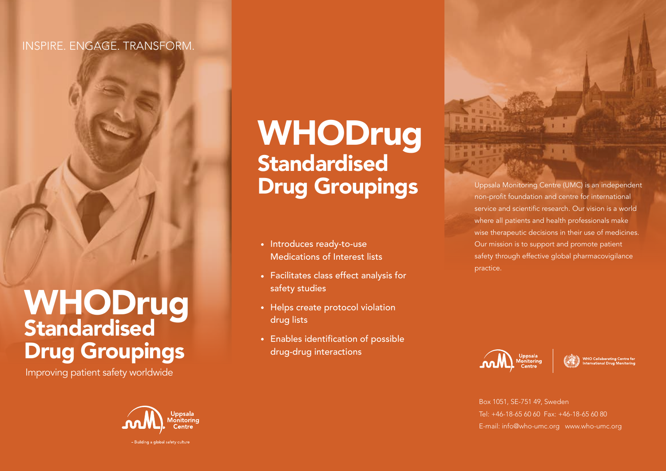#### INSPIRE. ENGAGE. TRANSFORM.

## WHODrug Standardised Drug Groupings

Improving patient safety worldwide



# WHODrug **Standardised Drug Groupings** Uppsala Monitoring Centre (UMC) is an independent

- Introduces ready-to-use Medications of Interest lists
- Facilitates class effect analysis for safety studies
- Helps create protocol violation drug lists
- Enables identification of possible drug-drug interactions

non-profit foundation and centre for international service and scientific research. Our vision is a world where all patients and health professionals make wise therapeutic decisions in their use of medicines. Our mission is to support and promote patient safety through effective global pharmacovigilance practice.





Box 1051, SE-751 49, Sweden Tel: +46-18-65 60 60 Fax: +46-18-65 60 80 E-mail: info@who-umc.org www.who-umc.org